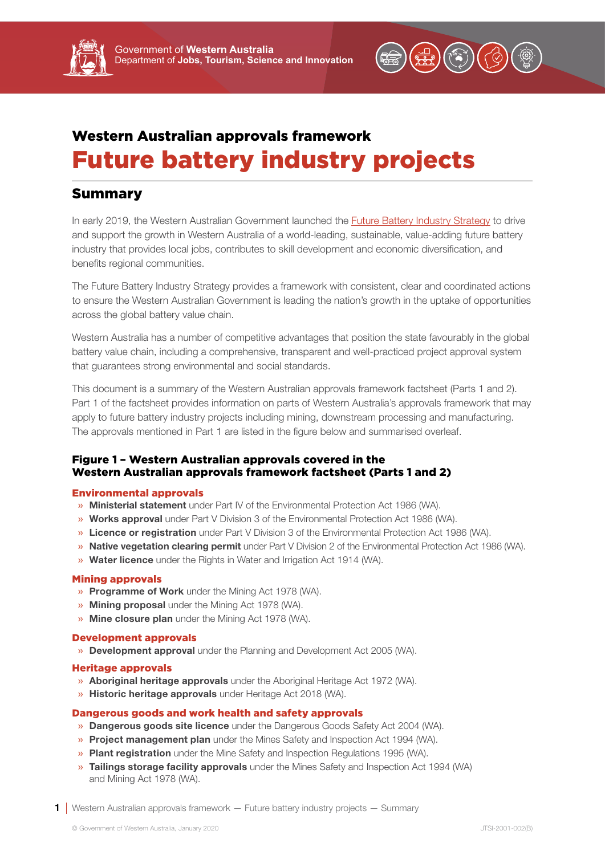

# Western Australian approvals framework Future battery industry projects

# Summary

In early 2019, the Western Australian Government launched the [Future Battery Industry Strategy](https://www.jtsi.wa.gov.au/docs/default-source/default-document-library/future-battery-industry-strategy-wa-0119.pdf?sfvrsn=ccc7731c_4) to drive and support the growth in Western Australia of a world-leading, sustainable, value-adding future battery industry that provides local jobs, contributes to skill development and economic diversification, and benefits regional communities.

The Future Battery Industry Strategy provides a framework with consistent, clear and coordinated actions to ensure the Western Australian Government is leading the nation's growth in the uptake of opportunities across the global battery value chain.

Western Australia has a number of competitive advantages that position the state favourably in the global battery value chain, including a comprehensive, transparent and well-practiced project approval system that guarantees strong environmental and social standards.

This document is a summary of the Western Australian approvals framework factsheet (Parts 1 and 2). Part 1 of the factsheet provides information on parts of Western Australia's approvals framework that may apply to future battery industry projects including mining, downstream processing and manufacturing. The approvals mentioned in Part 1 are listed in the figure below and summarised overleaf.

## Figure 1 – Western Australian approvals covered in the Western Australian approvals framework factsheet (Parts 1 and 2)

### Environmental approvals

- » Ministerial statement under Part IV of the Environmental Protection Act 1986 (WA).
- » Works approval under Part V Division 3 of the Environmental Protection Act 1986 (WA).
- » Licence or registration under Part V Division 3 of the Environmental Protection Act 1986 (WA).
- » Native vegetation clearing permit under Part V Division 2 of the Environmental Protection Act 1986 (WA).
- » Water licence under the Rights in Water and Irrigation Act 1914 (WA).

### Mining approvals

- » Programme of Work under the Mining Act 1978 (WA).
- » Mining proposal under the Mining Act 1978 (WA).
- » Mine closure plan under the Mining Act 1978 (WA).

#### Development approvals

» **Development approval** under the Planning and Development Act 2005 (WA).

#### Heritage approvals

- » Aboriginal heritage approvals under the Aboriginal Heritage Act 1972 (WA).
- » Historic heritage approvals under Heritage Act 2018 (WA).

### Dangerous goods and work health and safety approvals

- » Dangerous goods site licence under the Dangerous Goods Safety Act 2004 (WA).
- » Project management plan under the Mines Safety and Inspection Act 1994 (WA).
- » Plant registration under the Mine Safety and Inspection Regulations 1995 (WA).
- » Tailings storage facility approvals under the Mines Safety and Inspection Act 1994 (WA) and Mining Act 1978 (WA).
- 1 Western Australian approvals framework Future battery industry projects Summary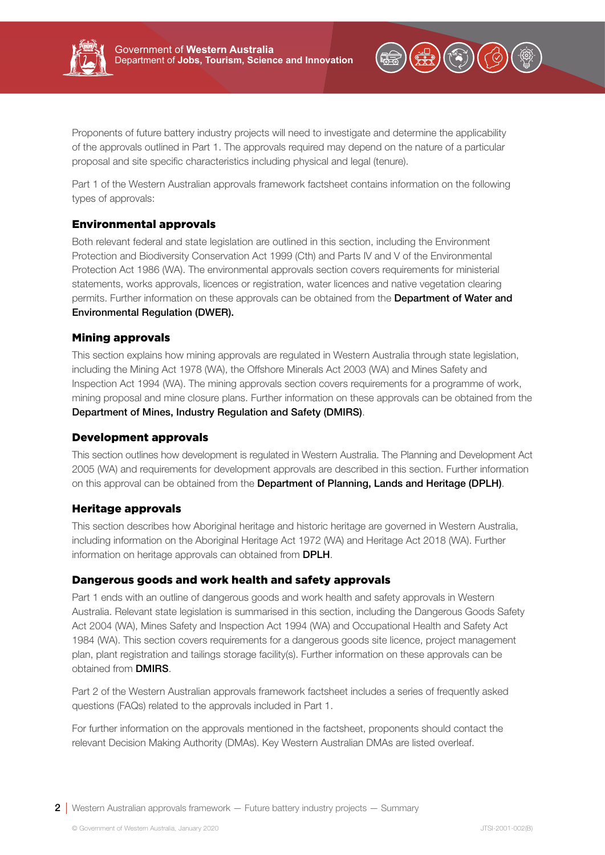



Proponents of future battery industry projects will need to investigate and determine the applicability of the approvals outlined in Part 1. The approvals required may depend on the nature of a particular proposal and site specific characteristics including physical and legal (tenure).

Part 1 of the Western Australian approvals framework factsheet contains information on the following types of approvals:

## Environmental approvals

Both relevant federal and state legislation are outlined in this section, including the Environment Protection and Biodiversity Conservation Act 1999 (Cth) and Parts IV and V of the Environmental Protection Act 1986 (WA). The environmental approvals section covers requirements for ministerial statements, works approvals, licences or registration, water licences and native vegetation clearing permits. Further information on these approvals can be obtained from the Department of Water and Environmental Regulation (DWER).

## Mining approvals

This section explains how mining approvals are regulated in Western Australia through state legislation, including the Mining Act 1978 (WA), the Offshore Minerals Act 2003 (WA) and Mines Safety and Inspection Act 1994 (WA). The mining approvals section covers requirements for a programme of work, mining proposal and mine closure plans. Further information on these approvals can be obtained from the Department of Mines, Industry Regulation and Safety (DMIRS).

## Development approvals

This section outlines how development is regulated in Western Australia. The Planning and Development Act 2005 (WA) and requirements for development approvals are described in this section. Further information on this approval can be obtained from the Department of Planning, Lands and Heritage (DPLH).

## Heritage approvals

This section describes how Aboriginal heritage and historic heritage are governed in Western Australia, including information on the Aboriginal Heritage Act 1972 (WA) and Heritage Act 2018 (WA). Further information on heritage approvals can obtained from **DPLH**.

## Dangerous goods and work health and safety approvals

Part 1 ends with an outline of dangerous goods and work health and safety approvals in Western Australia. Relevant state legislation is summarised in this section, including the Dangerous Goods Safety Act 2004 (WA), Mines Safety and Inspection Act 1994 (WA) and Occupational Health and Safety Act 1984 (WA). This section covers requirements for a dangerous goods site licence, project management plan, plant registration and tailings storage facility(s). Further information on these approvals can be obtained from DMIRS.

Part 2 of the Western Australian approvals framework factsheet includes a series of frequently asked questions (FAQs) related to the approvals included in Part 1.

For further information on the approvals mentioned in the factsheet, proponents should contact the relevant Decision Making Authority (DMAs). Key Western Australian DMAs are listed overleaf.

**2** Western Australian approvals framework  $-$  Future battery industry projects  $-$  Summary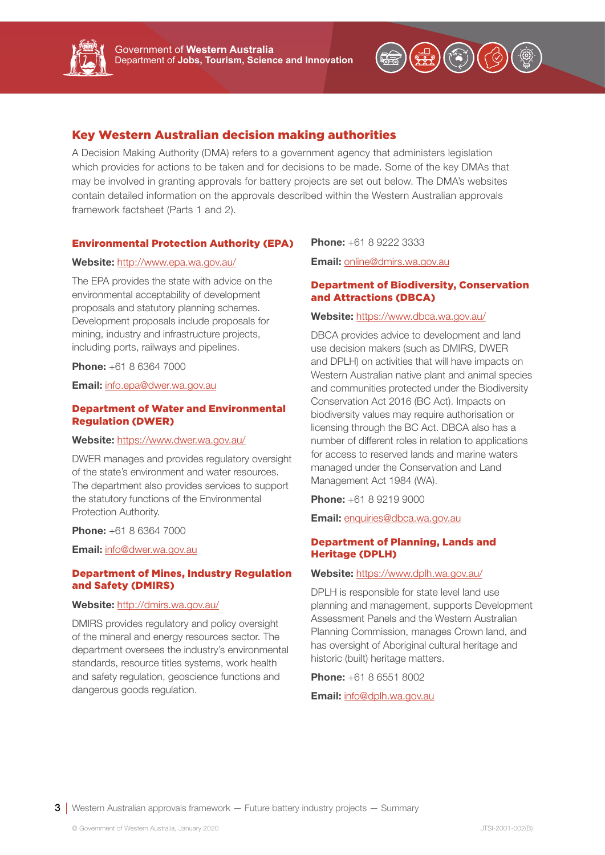

## Key Western Australian decision making authorities

A Decision Making Authority (DMA) refers to a government agency that administers legislation which provides for actions to be taken and for decisions to be made. Some of the key DMAs that may be involved in granting approvals for battery projects are set out below. The DMA's websites contain detailed information on the approvals described within the Western Australian approvals framework factsheet (Parts 1 and 2).

#### Environmental Protection Authority (EPA)

#### Website: http://www.epa.wa.gov.au/

The EPA provides the state with advice on the environmental acceptability of development proposals and statutory planning schemes. Development proposals include proposals for mining, industry and infrastructure projects, including ports, railways and pipelines.

**Phone:** +61 8 6364 7000

Email: info.epa@dwer.wa.gov.au

#### Department of Water and Environmental Regulation (DWER)

#### Website: https://www.dwer.wa.gov.au/

DWER manages and provides regulatory oversight of the state's environment and water resources. The department also provides services to support the statutory functions of the Environmental Protection Authority.

**Phone:** +61 8 6364 7000

Email: info@dwer.wa.gov.au

#### Department of Mines, Industry Regulation and Safety (DMIRS)

## Website: http://dmirs.wa.gov.au/

DMIRS provides regulatory and policy oversight of the mineral and energy resources sector. The department oversees the industry's environmental standards, resource titles systems, work health and safety regulation, geoscience functions and dangerous goods regulation.

**Phone:** +61 8 9222 3333

Email: online@dmirs.wa.gov.au

#### Department of Biodiversity, Conservation and Attractions (DBCA)

#### Website: https://www.dbca.wa.gov.au/

DBCA provides advice to development and land use decision makers (such as DMIRS, DWER and DPLH) on activities that will have impacts on Western Australian native plant and animal species and communities protected under the Biodiversity Conservation Act 2016 (BC Act). Impacts on biodiversity values may require authorisation or licensing through the BC Act. DBCA also has a number of different roles in relation to applications for access to reserved lands and marine waters managed under the Conservation and Land Management Act 1984 (WA).

**Phone:** +61 8 9219 9000

Email: enquiries@dbca.wa.gov.au

### Department of Planning, Lands and Heritage (DPLH)

#### Website: https://www.dplh.wa.gov.au/

DPLH is responsible for state level land use planning and management, supports Development Assessment Panels and the Western Australian Planning Commission, manages Crown land, and has oversight of Aboriginal cultural heritage and historic (built) heritage matters.

**Phone:** +61 8 6551 8002

Email: info@dplh.wa.gov.au